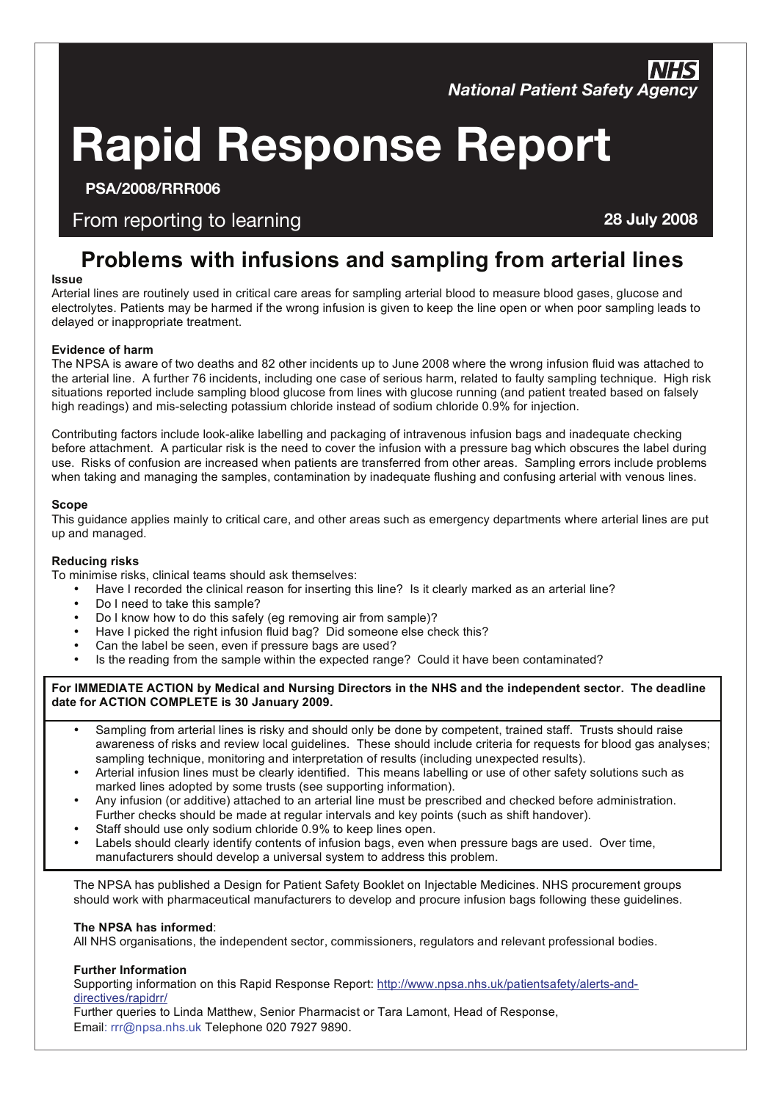### **JAMES LYON & CO.**  ANIA DI **Rapid Response Report**

**PSA/2008/RRR006**

### From reporting to learning **28 July 2008**

## Problems with infusions and sampling from arterial lines<br>՝

#### **Issue**

Arterial lines are routinely used in critical care areas for sampling arterial blood to measure blood gases, glucose and electrolytes. Patients may be harmed if the wrong infusion is given to keep the line open or when poor sampling leads to delayed or inappropriate treatment.

#### **Evidence of harm**

the arterial line. A further 76 incidents, including one case of serious harm, related to faulty sampling technique. High risk situations reported include sampling blood glucose from lines with glucose running (and patient treated based on falsely<br>high seculiary contract to the color contract on the idea included a contract the COV factorization i The NPSA is aware of two deaths and 82 other incidents up to June 2008 where the wrong infusion fluid was attached to high readings) and mis-selecting potassium chloride instead of sodium chloride 0.9% for injection.

Contributing factors include look-alike labelling and packaging of intravenous infusion bags and inadequate checking before attachment. A particular risk is the need to cover the infusion with a pressure bag which obscures the label during use. Risks of confusion are increased when patients are transferred from other areas. Sampling errors include problems when taking and managing the samples, contamination by inadequate flushing and confusing arterial with venous lines.

#### **Scope**

This guidance applies mainly to critical care, and other areas such as emergency departments where arterial lines are put up and managed.

#### **Reducing risks Reducing**

To minimise risks, clinical teams should ask themselves:

- Have I recorded the clinical reason for inserting this line? Is it clearly marked as an arterial line?
- Do I need to take this sample?
- Do I know how to do this safely (eg removing air from sample)?
- Have I picked the right infusion fluid bag? Did someone else check this?
- Can the label be seen, even if pressure bags are used?
- Is the reading from the sample within the expected range? Could it have been contaminated?

#### **For IMMEDIATE ACTION by Medical and Nursing Directors in the NHS and the independent sector. The deadline date for ACTION COMPLETE is 30 January 2009.**

- Sampling from arterial lines is risky and should only be done by competent, trained staff. Trusts should raise awareness of risks and review local guidelines. These should include criteria for requests for blood gas analyses; sampling technique, monitoring and interpretation of results (including unexpected results).
- Arterial infusion lines must be clearly identified. This means labelling or use of other safety solutions such as marked lines adopted by some trusts (see supporting information).
- Any infusion (or additive) attached to an arterial line must be prescribed and checked before administration. Further checks should be made at regular intervals and key points (such as shift handover).
- Staff should use only sodium chloride 0.9% to keep lines open.
- Labels should clearly identify contents of infusion bags, even when pressure bags are used. Over time, manufacturers should develop a universal system to address this problem.

The NPSA has published a Design for Patient Safety Booklet on Injectable Medicines. NHS procurement groups should work with pharmaceutical manufacturers to develop and procure infusion bags following these guidelines.

#### **The NPSA has informed**:

All NHS organisations, the independent sector, commissioners, regulators and relevant professional bodies.

#### **Further Information**

Supporting information on this Rapid Response Report: http://www.npsa.nhs.uk/patientsafety/alerts-anddirectives/rapidrr/

Further queries to Linda Matthew, Senior Pharmacist or Tara Lamont, Head of Response, Email: rrr@npsa.nhs.uk Telephone 020 7927 9890.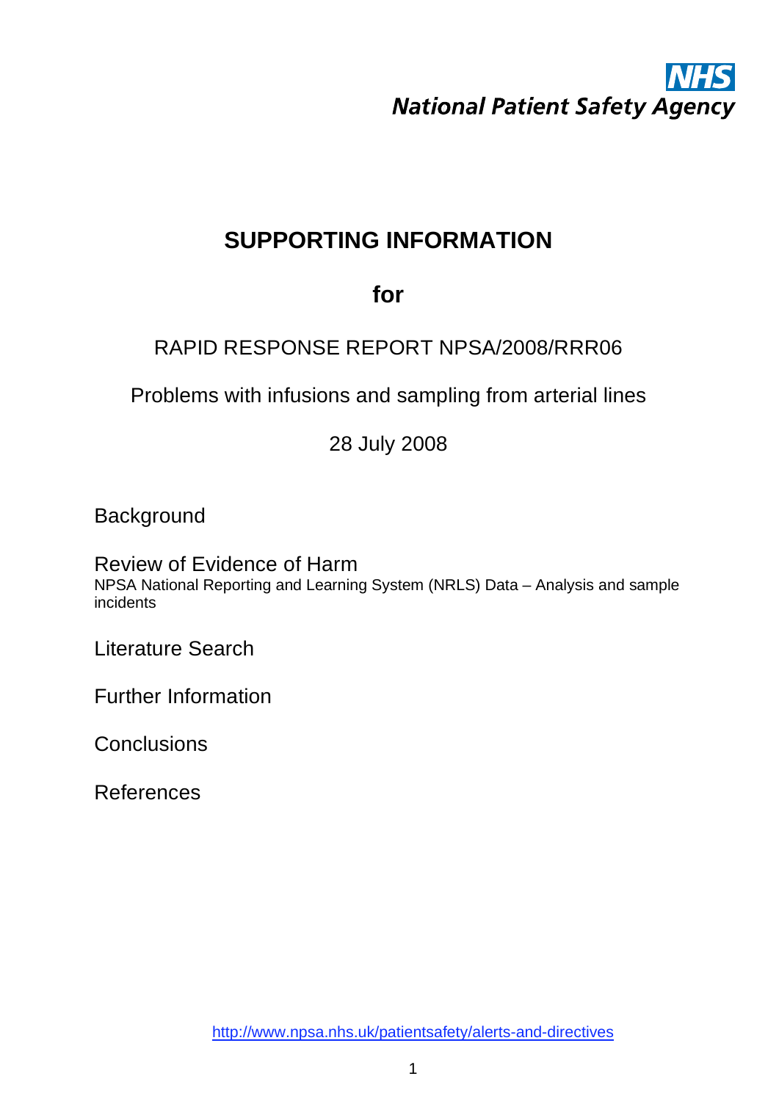## **SUPPORTING INFORMATION**

## **for**

## RAPID RESPONSE REPORT NPSA/2008/RRR06

Problems with infusions and sampling from arterial lines

28 July 2008

Background

Review of Evidence of Harm NPSA National Reporting and Learning System (NRLS) Data – Analysis and sample incidents

Literature Search

Further Information

**Conclusions** 

References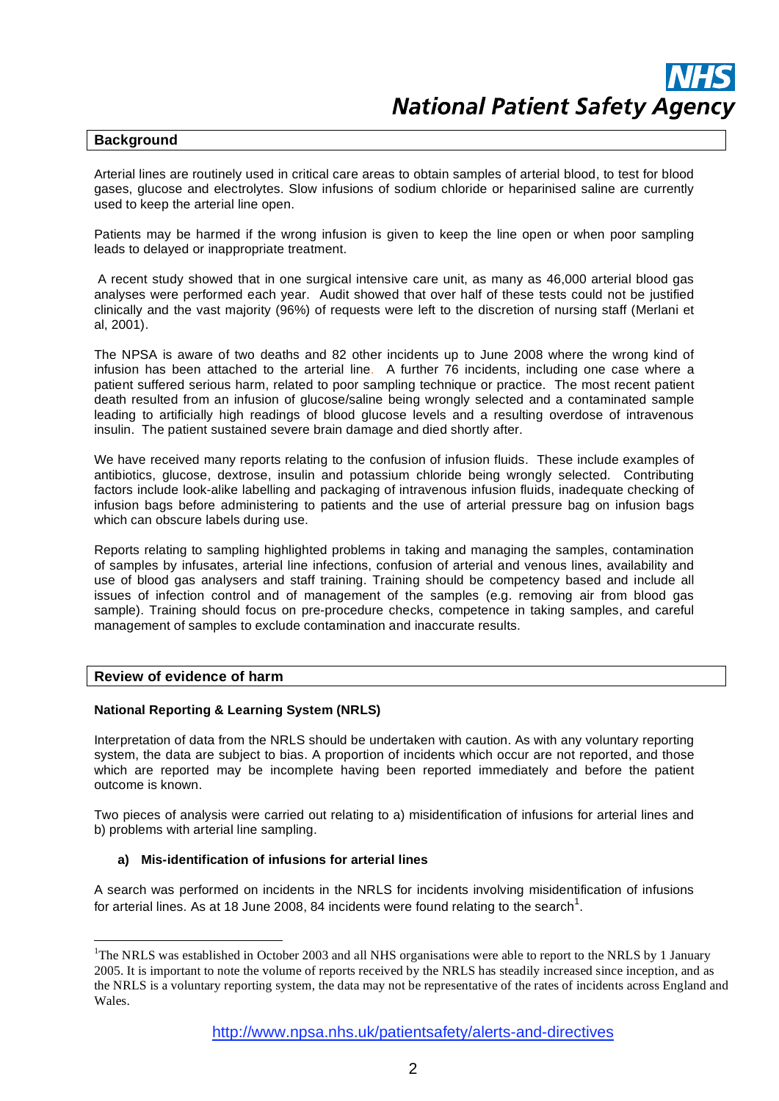#### **Background**

Arterial lines are routinely used in critical care areas to obtain samples of arterial blood, to test for blood gases, glucose and electrolytes. Slow infusions of sodium chloride or heparinised saline are currently used to keep the arterial line open.

 Patients may be harmed if the wrong infusion is given to keep the line open or when poor sampling leads to delayed or inappropriate treatment.

 A recent study showed that in one surgical intensive care unit, as many as 46,000 arterial blood gas analyses were performed each year. Audit showed that over half of these tests could not be justified clinically and the vast majority (96%) of requests were left to the discretion of nursing staff (Merlani et al, 2001).

The NPSA is aware of two deaths and 82 other incidents up to June 2008 where the wrong kind of infusion has been attached to the arterial line. A further 76 incidents, including one case where a patient suffered serious harm, related to poor sampling technique or practice. The most recent patient death resulted from an infusion of glucose/saline being wrongly selected and a contaminated sample leading to artificially high readings of blood glucose levels and a resulting overdose of intravenous insulin. The patient sustained severe brain damage and died shortly after.

We have received many reports relating to the confusion of infusion fluids. These include examples of antibiotics, glucose, dextrose, insulin and potassium chloride being wrongly selected. Contributing factors include look-alike labelling and packaging of intravenous infusion fluids, inadequate checking of infusion bags before administering to patients and the use of arterial pressure bag on infusion bags which can obscure labels during use.

Reports relating to sampling highlighted problems in taking and managing the samples, contamination of samples by infusates, arterial line infections, confusion of arterial and venous lines, availability and use of blood gas analysers and staff training. Training should be competency based and include all issues of infection control and of management of the samples (e.g. removing air from blood gas sample). Training should focus on pre-procedure checks, competence in taking samples, and careful management of samples to exclude contamination and inaccurate results.

#### **Review of evidence of harm**

<u>.</u>

#### **National Reporting & Learning System (NRLS)**

Interpretation of data from the NRLS should be undertaken with caution. As with any voluntary reporting system, the data are subject to bias. A proportion of incidents which occur are not reported, and those which are reported may be incomplete having been reported immediately and before the patient outcome is known.

Two pieces of analysis were carried out relating to a) misidentification of infusions for arterial lines and b) problems with arterial line sampling.

#### **a) Mis-identification of infusions for arterial lines**

A search was performed on incidents in the NRLS for incidents involving misidentification of infusions for arterial lines. As at 18 June 2008, 84 incidents were found relating to the search<sup>1</sup>.

<sup>&</sup>lt;sup>1</sup>The NRLS was established in October 2003 and all NHS organisations were able to report to the NRLS by 1 January 2005. It is important to note the volume of reports received by the NRLS has steadily increased since inception, and as the NRLS is a voluntary reporting system, the data may not be representative of the rates of incidents across England and Wales.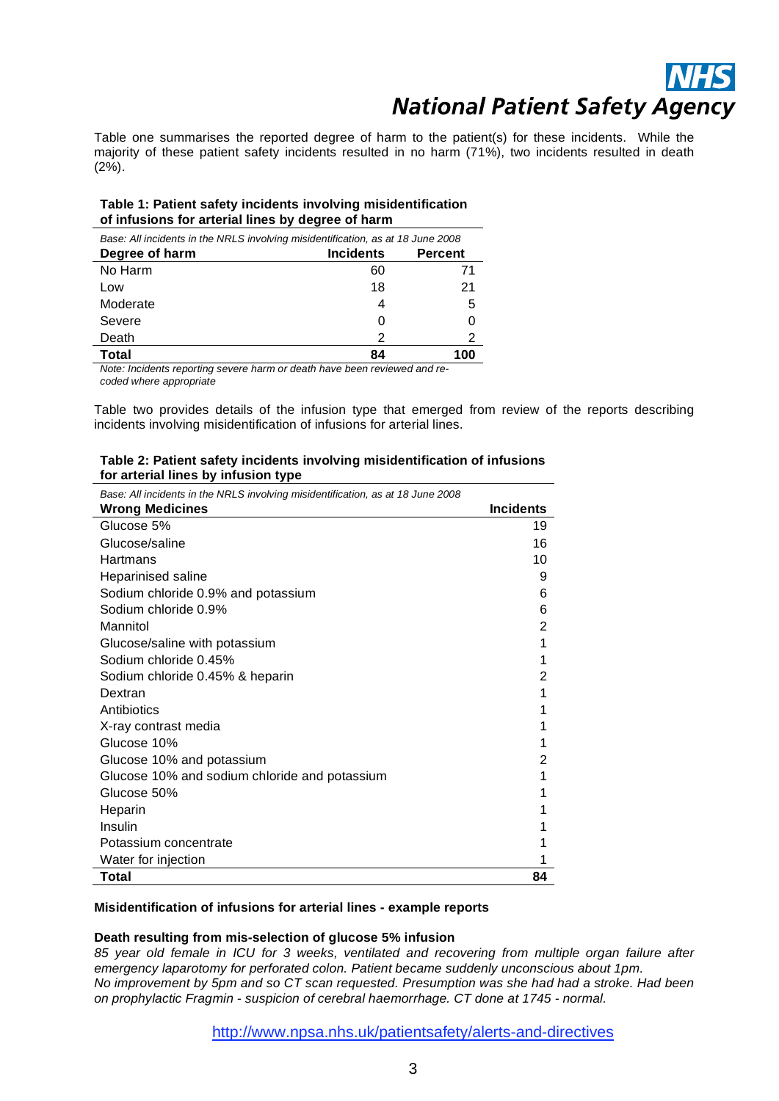Table one summarises the reported degree of harm to the patient(s) for these incidents. While the majority of these patient safety incidents resulted in no harm (71%), two incidents resulted in death (2%).

#### **Table 1: Patient safety incidents involving misidentification of infusions for arterial lines by degree of harm**

| Base: All incidents in the NRLS involving misidentification, as at 18 June 2008 |                  |                |  |
|---------------------------------------------------------------------------------|------------------|----------------|--|
| Degree of harm                                                                  | <b>Incidents</b> | <b>Percent</b> |  |
| No Harm                                                                         | 60               | 71             |  |
| Low                                                                             | 18               | 21             |  |
| Moderate                                                                        | 4                | 5              |  |
| Severe                                                                          |                  |                |  |
| Death                                                                           | 2                | 2              |  |
| Total                                                                           | 84               | 100            |  |

*Note: Incidents reporting severe harm or death have been reviewed and recoded where appropriate* 

Table two provides details of the infusion type that emerged from review of the reports describing incidents involving misidentification of infusions for arterial lines.

#### **Table 2: Patient safety incidents involving misidentification of infusions for arterial lines by infusion type**

| Base: All incidents in the NRLS involving misidentification, as at 18 June 2008 |                  |  |
|---------------------------------------------------------------------------------|------------------|--|
| <b>Wrong Medicines</b>                                                          | <b>Incidents</b> |  |
| Glucose 5%                                                                      | 19               |  |
| Glucose/saline                                                                  | 16               |  |
| Hartmans                                                                        | 10               |  |
| Heparinised saline                                                              | 9                |  |
| Sodium chloride 0.9% and potassium                                              | 6                |  |
| Sodium chloride 0.9%                                                            | 6                |  |
| Mannitol                                                                        | 2                |  |
| Glucose/saline with potassium                                                   |                  |  |
| Sodium chloride 0.45%                                                           | 1                |  |
| Sodium chloride 0.45% & heparin                                                 | 2                |  |
| Dextran                                                                         | 1                |  |
| Antibiotics                                                                     |                  |  |
| X-ray contrast media                                                            |                  |  |
| Glucose 10%                                                                     |                  |  |
| Glucose 10% and potassium                                                       | 2                |  |
| Glucose 10% and sodium chloride and potassium                                   |                  |  |
| Glucose 50%                                                                     |                  |  |
| Heparin                                                                         |                  |  |
| Insulin                                                                         |                  |  |
| Potassium concentrate                                                           |                  |  |
| Water for injection                                                             |                  |  |
| Total                                                                           | 84               |  |

#### **Misidentification of infusions for arterial lines - example reports**

#### **Death resulting from mis-selection of glucose 5% infusion**

*85 year old female in ICU for 3 weeks, ventilated and recovering from multiple organ failure after emergency laparotomy for perforated colon. Patient became suddenly unconscious about 1pm. No improvement by 5pm and so CT scan requested. Presumption was she had had a stroke. Had been on prophylactic Fragmin - suspicion of cerebral haemorrhage. CT done at 1745 - normal.* 

http://www.npsa.nhs.uk/patientsafety/alerts-and-directives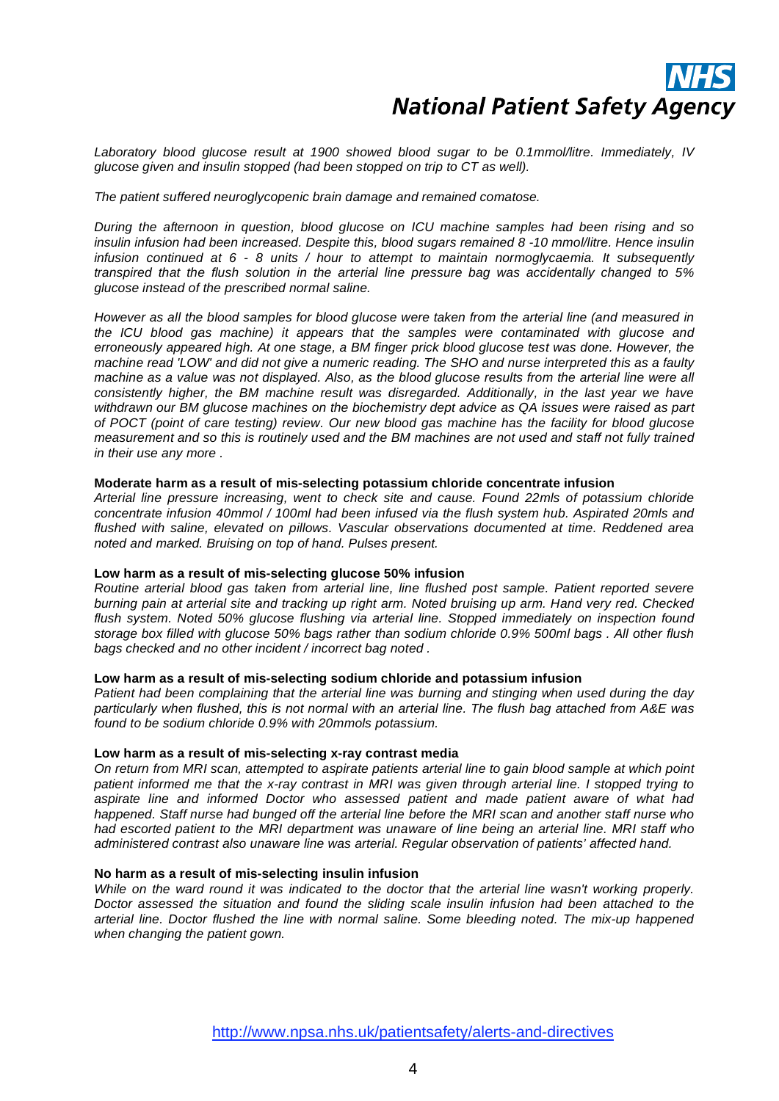*Laboratory blood glucose result at 1900 showed blood sugar to be 0.1mmol/litre. Immediately, IV glucose given and insulin stopped (had been stopped on trip to CT as well).* 

#### *The patient suffered neuroglycopenic brain damage and remained comatose.*

*During the afternoon in question, blood glucose on ICU machine samples had been rising and so insulin infusion had been increased. Despite this, blood sugars remained 8 -10 mmol/litre. Hence insulin infusion continued at 6 - 8 units / hour to attempt to maintain normoglycaemia. It subsequently transpired that the flush solution in the arterial line pressure bag was accidentally changed to 5% glucose instead of the prescribed normal saline.* 

*However as all the blood samples for blood glucose were taken from the arterial line (and measured in the ICU blood gas machine) it appears that the samples were contaminated with glucose and erroneously appeared high. At one stage, a BM finger prick blood glucose test was done. However, the machine read 'LOW' and did not give a numeric reading. The SHO and nurse interpreted this as a faulty machine as a value was not displayed. Also, as the blood glucose results from the arterial line were all consistently higher, the BM machine result was disregarded. Additionally, in the last year we have withdrawn our BM glucose machines on the biochemistry dept advice as QA issues were raised as part of POCT (point of care testing) review. Our new blood gas machine has the facility for blood glucose measurement and so this is routinely used and the BM machines are not used and staff not fully trained in their use any more .* 

#### **Moderate harm as a result of mis-selecting potassium chloride concentrate infusion**

*Arterial line pressure increasing, went to check site and cause. Found 22mls of potassium chloride concentrate infusion 40mmol / 100ml had been infused via the flush system hub. Aspirated 20mls and flushed with saline, elevated on pillows. Vascular observations documented at time. Reddened area noted and marked. Bruising on top of hand. Pulses present.* 

#### **Low harm as a result of mis-selecting glucose 50% infusion**

*Routine arterial blood gas taken from arterial line, line flushed post sample. Patient reported severe burning pain at arterial site and tracking up right arm. Noted bruising up arm. Hand very red. Checked flush system. Noted 50% glucose flushing via arterial line. Stopped immediately on inspection found storage box filled with glucose 50% bags rather than sodium chloride 0.9% 500ml bags . All other flush bags checked and no other incident / incorrect bag noted .* 

#### **Low harm as a result of mis-selecting sodium chloride and potassium infusion**

*Patient had been complaining that the arterial line was burning and stinging when used during the day particularly when flushed, this is not normal with an arterial line. The flush bag attached from A&E was found to be sodium chloride 0.9% with 20mmols potassium.* 

#### **Low harm as a result of mis-selecting x-ray contrast media**

*On return from MRI scan, attempted to aspirate patients arterial line to gain blood sample at which point patient informed me that the x-ray contrast in MRI was given through arterial line. I stopped trying to aspirate line and informed Doctor who assessed patient and made patient aware of what had happened. Staff nurse had bunged off the arterial line before the MRI scan and another staff nurse who had escorted patient to the MRI department was unaware of line being an arterial line. MRI staff who administered contrast also unaware line was arterial. Regular observation of patients' affected hand.* 

#### **No harm as a result of mis-selecting insulin infusion**

*While on the ward round it was indicated to the doctor that the arterial line wasn't working properly. Doctor assessed the situation and found the sliding scale insulin infusion had been attached to the arterial line. Doctor flushed the line with normal saline. Some bleeding noted. The mix-up happened when changing the patient gown.*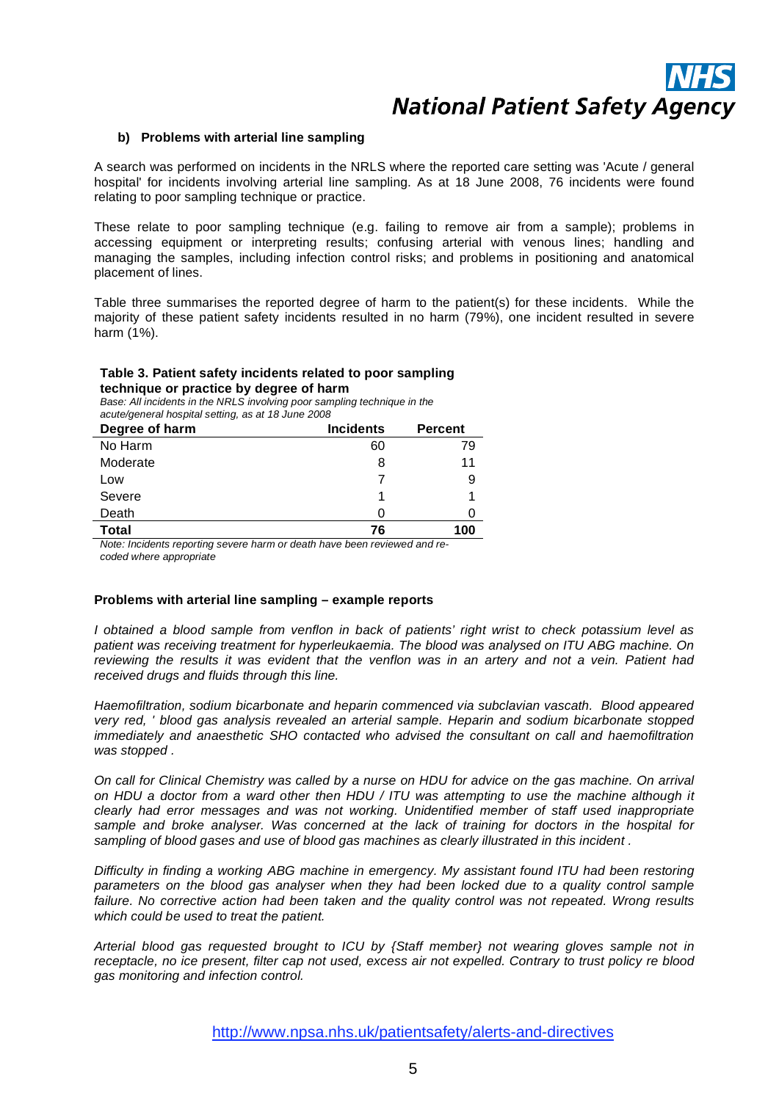

#### **b) Problems with arterial line sampling**

A search was performed on incidents in the NRLS where the reported care setting was 'Acute / general hospital' for incidents involving arterial line sampling. As at 18 June 2008, 76 incidents were found relating to poor sampling technique or practice.

These relate to poor sampling technique (e.g. failing to remove air from a sample); problems in accessing equipment or interpreting results; confusing arterial with venous lines; handling and managing the samples, including infection control risks; and problems in positioning and anatomical placement of lines.

Table three summarises the reported degree of harm to the patient(s) for these incidents. While the majority of these patient safety incidents resulted in no harm (79%), one incident resulted in severe harm (1%).

#### **Table 3. Patient safety incidents related to poor sampling technique or practice by degree of harm**

*Base: All incidents in the NRLS involving poor sampling technique in the acute/general hospital setting, as at 18 June 2008* 

| Degree of harm | <b>Incidents</b> | <b>Percent</b> |
|----------------|------------------|----------------|
| No Harm        | 60               | 79             |
| Moderate       | 8                | 11             |
| Low            |                  | 9              |
| Severe         |                  |                |
| Death          | O                |                |
| Total          | 76               | 100            |

*Note: Incidents reporting severe harm or death have been reviewed and recoded where appropriate* 

#### **Problems with arterial line sampling – example reports**

*I obtained a blood sample from venflon in back of patients' right wrist to check potassium level as patient was receiving treatment for hyperleukaemia. The blood was analysed on ITU ABG machine. On reviewing the results it was evident that the venflon was in an artery and not a vein. Patient had received drugs and fluids through this line.* 

*Haemofiltration, sodium bicarbonate and heparin commenced via subclavian vascath. Blood appeared very red, ' blood gas analysis revealed an arterial sample. Heparin and sodium bicarbonate stopped immediately and anaesthetic SHO contacted who advised the consultant on call and haemofiltration was stopped .* 

*On call for Clinical Chemistry was called by a nurse on HDU for advice on the gas machine. On arrival on HDU a doctor from a ward other then HDU / ITU was attempting to use the machine although it clearly had error messages and was not working. Unidentified member of staff used inappropriate sample and broke analyser. Was concerned at the lack of training for doctors in the hospital for sampling of blood gases and use of blood gas machines as clearly illustrated in this incident .* 

*Difficulty in finding a working ABG machine in emergency. My assistant found ITU had been restoring parameters on the blood gas analyser when they had been locked due to a quality control sample failure. No corrective action had been taken and the quality control was not repeated. Wrong results which could be used to treat the patient.* 

*Arterial blood gas requested brought to ICU by {Staff member} not wearing gloves sample not in receptacle, no ice present, filter cap not used, excess air not expelled. Contrary to trust policy re blood gas monitoring and infection control.*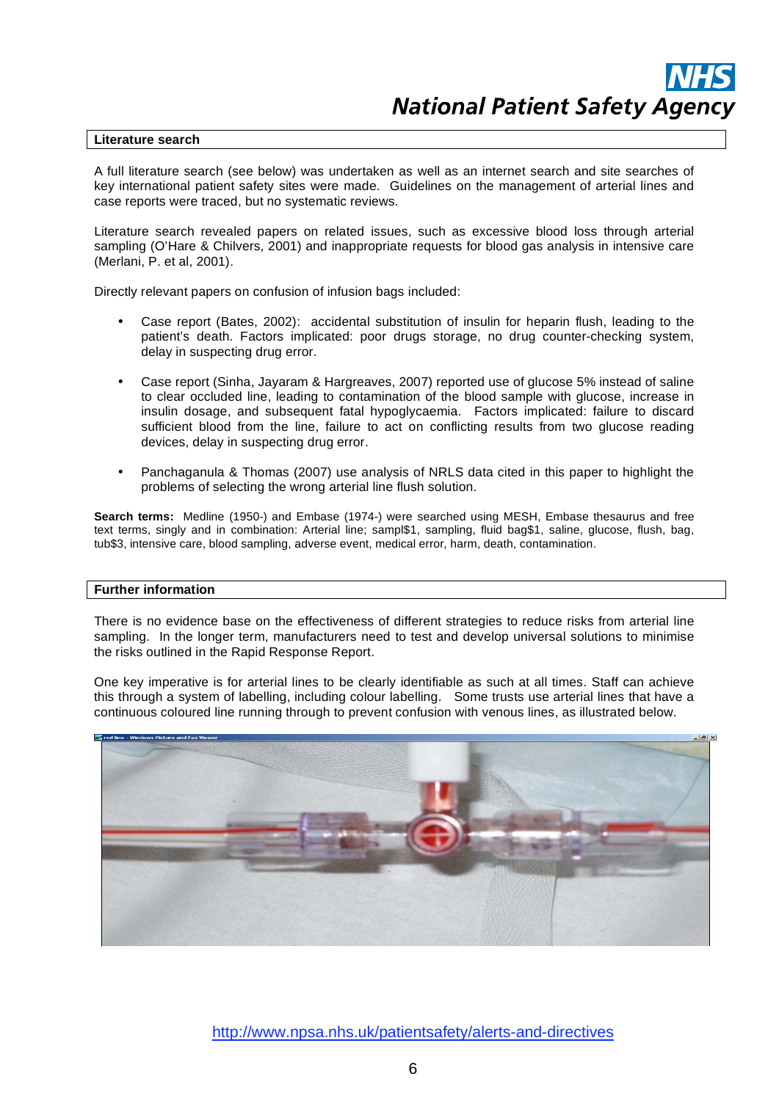#### **Literature search**

A full literature search (see below) was undertaken as well as an internet search and site searches of key international patient safety sites were made. Guidelines on the management of arterial lines and case reports were traced, but no systematic reviews.

Literature search revealed papers on related issues, such as excessive blood loss through arterial sampling (O'Hare & Chilvers, 2001) and inappropriate requests for blood gas analysis in intensive care (Merlani, P. et al, 2001).

Directly relevant papers on confusion of infusion bags included:

- Case report (Bates, 2002): accidental substitution of insulin for heparin flush, leading to the patient's death. Factors implicated: poor drugs storage, no drug counter-checking system, delay in suspecting drug error.
- Case report (Sinha, Jayaram & Hargreaves, 2007) reported use of glucose 5% instead of saline to clear occluded line, leading to contamination of the blood sample with glucose, increase in insulin dosage, and subsequent fatal hypoglycaemia. Factors implicated: failure to discard sufficient blood from the line, failure to act on conflicting results from two glucose reading devices, delay in suspecting drug error.
- Panchaganula & Thomas (2007) use analysis of NRLS data cited in this paper to highlight the problems of selecting the wrong arterial line flush solution.

**Search terms:** Medline (1950-) and Embase (1974-) were searched using MESH, Embase thesaurus and free text terms, singly and in combination: Arterial line; sampl\$1, sampling, fluid bag\$1, saline, glucose, flush, bag, tub\$3, intensive care, blood sampling, adverse event, medical error, harm, death, contamination.

#### **Further information**

There is no evidence base on the effectiveness of different strategies to reduce risks from arterial line sampling. In the longer term, manufacturers need to test and develop universal solutions to minimise the risks outlined in the Rapid Response Report.

One key imperative is for arterial lines to be clearly identifiable as such at all times. Staff can achieve this through a system of labelling, including colour labelling. Some trusts use arterial lines that have a continuous coloured line running through to prevent confusion with venous lines, as illustrated below.